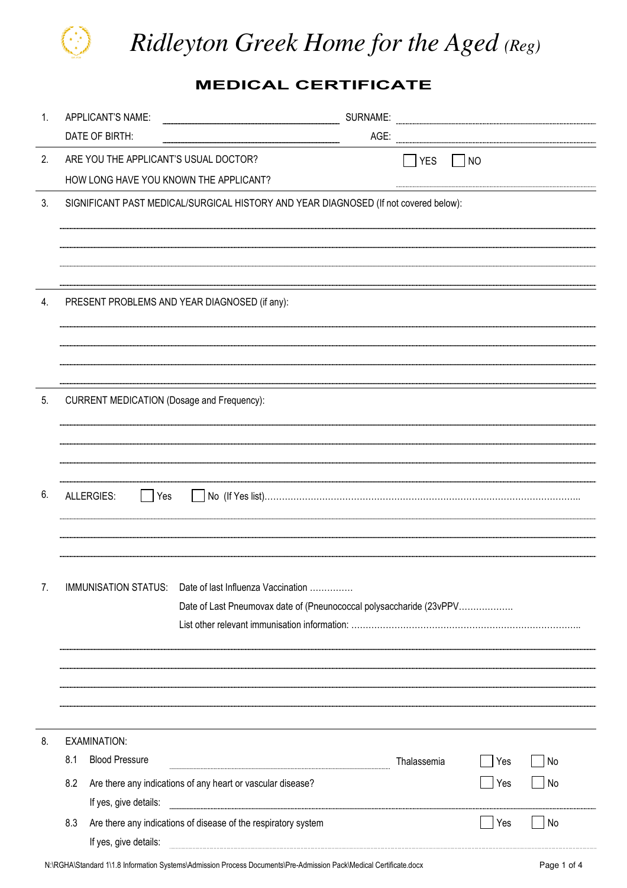

*Ridleyton Greek Home for the Aged (Reg)*

MEDICAL CERTIFICATE

| 1. | APPLICANT'S NAME:                                                                           | SURNAME:    |     |    |
|----|---------------------------------------------------------------------------------------------|-------------|-----|----|
|    | DATE OF BIRTH:                                                                              | AGE:        |     |    |
| 2. | ARE YOU THE APPLICANT'S USUAL DOCTOR?                                                       | YES         | NO  |    |
|    | HOW LONG HAVE YOU KNOWN THE APPLICANT?                                                      |             |     |    |
| 3. | SIGNIFICANT PAST MEDICAL/SURGICAL HISTORY AND YEAR DIAGNOSED (If not covered below):        |             |     |    |
|    |                                                                                             |             |     |    |
|    |                                                                                             |             |     |    |
|    |                                                                                             |             |     |    |
| 4. | PRESENT PROBLEMS AND YEAR DIAGNOSED (if any):                                               |             |     |    |
|    |                                                                                             |             |     |    |
|    |                                                                                             |             |     |    |
|    |                                                                                             |             |     |    |
| 5. |                                                                                             |             |     |    |
|    | <b>CURRENT MEDICATION (Dosage and Frequency):</b>                                           |             |     |    |
|    |                                                                                             |             |     |    |
|    |                                                                                             |             |     |    |
|    |                                                                                             |             |     |    |
| 6. | ALLERGIES:<br>Yes                                                                           |             |     |    |
|    |                                                                                             |             |     |    |
|    |                                                                                             |             |     |    |
|    |                                                                                             |             |     |    |
| 7. | IMMUNISATION STATUS: Date of last Influenza Vaccination                                     |             |     |    |
|    | Date of Last Pneumovax date of (Pneunococcal polysaccharide (23vPPV                         |             |     |    |
|    |                                                                                             |             |     |    |
|    |                                                                                             |             |     |    |
|    |                                                                                             |             |     |    |
|    |                                                                                             |             |     |    |
|    |                                                                                             |             |     |    |
| 8. | EXAMINATION:                                                                                |             |     |    |
|    | <b>Blood Pressure</b><br>8.1                                                                | Thalassemia | Yes | No |
|    | 8.2<br>Are there any indications of any heart or vascular disease?<br>If yes, give details: |             | Yes | No |
|    | 8.3<br>Are there any indications of disease of the respiratory system                       |             | Yes | No |
|    | If yes, give details:                                                                       |             |     |    |
|    |                                                                                             |             |     |    |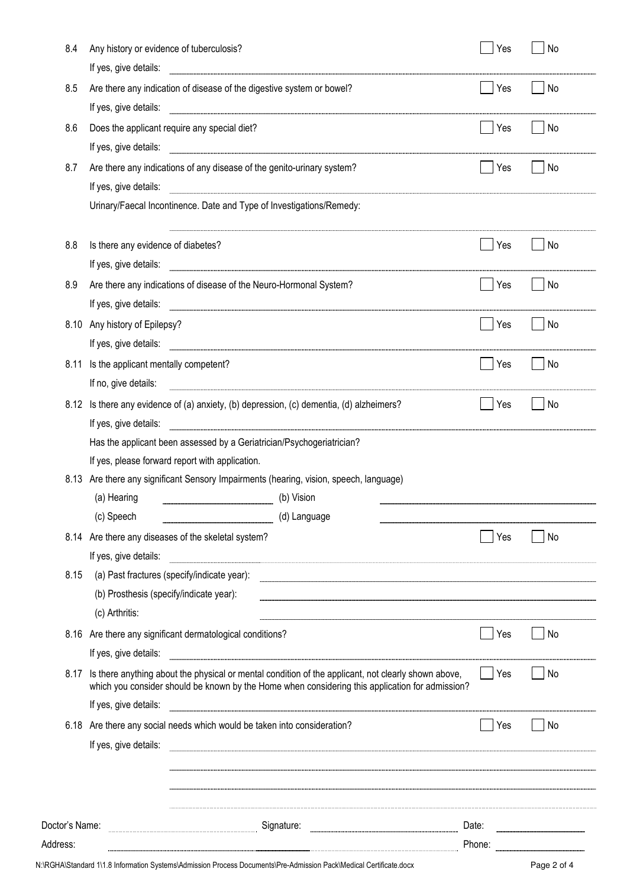| Address:       |                                                                                        |                                                                                                                                                                                                                                |       | Phone: <b>with the contract of the contract of the contract of the contract of the contract of the contract of the contract of the contract of the contract of the contract of the contract of the contract of the contract of t</b> |  |  |
|----------------|----------------------------------------------------------------------------------------|--------------------------------------------------------------------------------------------------------------------------------------------------------------------------------------------------------------------------------|-------|--------------------------------------------------------------------------------------------------------------------------------------------------------------------------------------------------------------------------------------|--|--|
| Doctor's Name: |                                                                                        | Date:                                                                                                                                                                                                                          |       |                                                                                                                                                                                                                                      |  |  |
|                |                                                                                        |                                                                                                                                                                                                                                |       |                                                                                                                                                                                                                                      |  |  |
|                |                                                                                        |                                                                                                                                                                                                                                |       |                                                                                                                                                                                                                                      |  |  |
|                | If yes, give details:                                                                  |                                                                                                                                                                                                                                |       |                                                                                                                                                                                                                                      |  |  |
|                |                                                                                        | 6.18 Are there any social needs which would be taken into consideration?                                                                                                                                                       | Yes   | No                                                                                                                                                                                                                                   |  |  |
|                | If yes, give details:                                                                  |                                                                                                                                                                                                                                |       |                                                                                                                                                                                                                                      |  |  |
|                |                                                                                        | 8.17 Is there anything about the physical or mental condition of the applicant, not clearly shown above,<br>which you consider should be known by the Home when considering this application for admission?                    | Yes   | No.                                                                                                                                                                                                                                  |  |  |
|                | If yes, give details:                                                                  |                                                                                                                                                                                                                                |       |                                                                                                                                                                                                                                      |  |  |
|                |                                                                                        | 8.16 Are there any significant dermatological conditions?                                                                                                                                                                      | Yes   | No                                                                                                                                                                                                                                   |  |  |
|                | (c) Arthritis:                                                                         |                                                                                                                                                                                                                                |       |                                                                                                                                                                                                                                      |  |  |
|                | (b) Prosthesis (specify/indicate year):                                                |                                                                                                                                                                                                                                |       |                                                                                                                                                                                                                                      |  |  |
| 8.15           |                                                                                        | (a) Past fractures (specify/indicate year): entertainment and all the set of the set of the set of the set of the set of the set of the set of the set of the set of the set of the set of the set of the set of the set of th |       |                                                                                                                                                                                                                                      |  |  |
|                | If yes, give details:                                                                  |                                                                                                                                                                                                                                |       |                                                                                                                                                                                                                                      |  |  |
|                |                                                                                        | 8.14 Are there any diseases of the skeletal system?                                                                                                                                                                            | Yes   | No                                                                                                                                                                                                                                   |  |  |
|                | (c) Speech                                                                             | (d) Language                                                                                                                                                                                                                   |       |                                                                                                                                                                                                                                      |  |  |
|                | (a) Hearing                                                                            | (b) Vision                                                                                                                                                                                                                     |       |                                                                                                                                                                                                                                      |  |  |
|                | 8.13 Are there any significant Sensory Impairments (hearing, vision, speech, language) |                                                                                                                                                                                                                                |       |                                                                                                                                                                                                                                      |  |  |
|                | If yes, please forward report with application.                                        |                                                                                                                                                                                                                                |       |                                                                                                                                                                                                                                      |  |  |
|                | Has the applicant been assessed by a Geriatrician/Psychogeriatrician?                  |                                                                                                                                                                                                                                |       |                                                                                                                                                                                                                                      |  |  |
|                | If yes, give details:                                                                  |                                                                                                                                                                                                                                |       |                                                                                                                                                                                                                                      |  |  |
|                |                                                                                        | 8.12 Is there any evidence of (a) anxiety, (b) depression, (c) dementia, (d) alzheimers?                                                                                                                                       | Yes   | No                                                                                                                                                                                                                                   |  |  |
|                | If no, give details:                                                                   |                                                                                                                                                                                                                                |       |                                                                                                                                                                                                                                      |  |  |
| 8.11           | Is the applicant mentally competent?                                                   |                                                                                                                                                                                                                                | Yes   | No                                                                                                                                                                                                                                   |  |  |
|                | If yes, give details:                                                                  |                                                                                                                                                                                                                                |       |                                                                                                                                                                                                                                      |  |  |
|                | 8.10 Any history of Epilepsy?                                                          |                                                                                                                                                                                                                                | Yes   | No                                                                                                                                                                                                                                   |  |  |
|                | If yes, give details:                                                                  |                                                                                                                                                                                                                                |       |                                                                                                                                                                                                                                      |  |  |
| 8.9            |                                                                                        | Are there any indications of disease of the Neuro-Hormonal System?                                                                                                                                                             | l Yes | No                                                                                                                                                                                                                                   |  |  |
|                | If yes, give details:                                                                  |                                                                                                                                                                                                                                |       |                                                                                                                                                                                                                                      |  |  |
| 8.8            | Is there any evidence of diabetes?                                                     |                                                                                                                                                                                                                                | Yes   | No                                                                                                                                                                                                                                   |  |  |
|                |                                                                                        | Urinary/Faecal Incontinence. Date and Type of Investigations/Remedy:                                                                                                                                                           |       |                                                                                                                                                                                                                                      |  |  |
|                | If yes, give details:                                                                  |                                                                                                                                                                                                                                |       |                                                                                                                                                                                                                                      |  |  |
| 8.7            |                                                                                        | Are there any indications of any disease of the genito-urinary system?                                                                                                                                                         | Yes   | No                                                                                                                                                                                                                                   |  |  |
|                | If yes, give details:                                                                  |                                                                                                                                                                                                                                |       |                                                                                                                                                                                                                                      |  |  |
| 8.6            |                                                                                        | If yes, give details:<br>Does the applicant require any special diet?                                                                                                                                                          | Yes   | No.                                                                                                                                                                                                                                  |  |  |
| 8.5            |                                                                                        | Are there any indication of disease of the digestive system or bowel?                                                                                                                                                          | Yes   | No.                                                                                                                                                                                                                                  |  |  |
|                | If yes, give details:                                                                  |                                                                                                                                                                                                                                |       |                                                                                                                                                                                                                                      |  |  |
| 8.4            | Any history or evidence of tuberculosis?                                               |                                                                                                                                                                                                                                | Yes   | No                                                                                                                                                                                                                                   |  |  |
|                |                                                                                        |                                                                                                                                                                                                                                |       |                                                                                                                                                                                                                                      |  |  |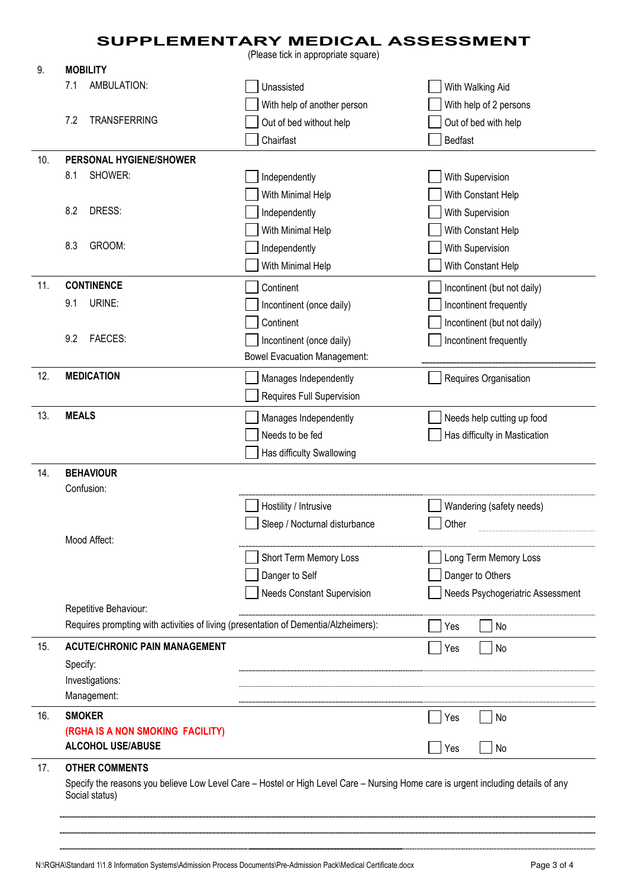## SUPPLEMENTARY MEDICAL ASSESSMENT

(Please tick in appropriate square)

| 9.  | <b>MOBILITY</b>                                                                                                                                                              |                                     |                                  |
|-----|------------------------------------------------------------------------------------------------------------------------------------------------------------------------------|-------------------------------------|----------------------------------|
|     | AMBULATION:<br>7.1                                                                                                                                                           | Unassisted                          | With Walking Aid                 |
|     |                                                                                                                                                                              | With help of another person         | With help of 2 persons           |
|     | <b>TRANSFERRING</b><br>7.2                                                                                                                                                   | Out of bed without help             | Out of bed with help             |
|     |                                                                                                                                                                              | Chairfast                           | Bedfast                          |
| 10. | PERSONAL HYGIENE/SHOWER                                                                                                                                                      |                                     |                                  |
|     | SHOWER:<br>8.1                                                                                                                                                               | Independently                       | With Supervision                 |
|     |                                                                                                                                                                              | With Minimal Help                   | With Constant Help               |
|     | 8.2<br>DRESS:                                                                                                                                                                | Independently                       | With Supervision                 |
|     |                                                                                                                                                                              | With Minimal Help                   | With Constant Help               |
|     | GROOM:<br>8.3                                                                                                                                                                | Independently                       | With Supervision                 |
|     |                                                                                                                                                                              | With Minimal Help                   | With Constant Help               |
| 11. | <b>CONTINENCE</b>                                                                                                                                                            | Continent                           | Incontinent (but not daily)      |
|     | URINE:<br>9.1                                                                                                                                                                | Incontinent (once daily)            | Incontinent frequently           |
|     |                                                                                                                                                                              | Continent                           | Incontinent (but not daily)      |
|     | <b>FAECES:</b><br>9.2                                                                                                                                                        | Incontinent (once daily)            | Incontinent frequently           |
|     |                                                                                                                                                                              | <b>Bowel Evacuation Management:</b> |                                  |
| 12. | <b>MEDICATION</b>                                                                                                                                                            | Manages Independently               | Requires Organisation            |
|     |                                                                                                                                                                              | Requires Full Supervision           |                                  |
| 13. | <b>MEALS</b>                                                                                                                                                                 |                                     |                                  |
|     |                                                                                                                                                                              | Manages Independently               | Needs help cutting up food       |
|     |                                                                                                                                                                              | Needs to be fed                     | Has difficulty in Mastication    |
|     |                                                                                                                                                                              | Has difficulty Swallowing           |                                  |
| 14. | <b>BEHAVIOUR</b><br>Confusion:                                                                                                                                               |                                     |                                  |
|     |                                                                                                                                                                              | Hostility / Intrusive               | Wandering (safety needs)         |
|     |                                                                                                                                                                              | Sleep / Nocturnal disturbance       | Other                            |
|     | Mood Affect:                                                                                                                                                                 |                                     |                                  |
|     |                                                                                                                                                                              | Short Term Memory Loss              | Long Term Memory Loss            |
|     |                                                                                                                                                                              | Danger to Self                      | Danger to Others                 |
|     |                                                                                                                                                                              | <b>Needs Constant Supervision</b>   | Needs Psychogeriatric Assessment |
|     | Repetitive Behaviour:                                                                                                                                                        |                                     |                                  |
|     | Requires prompting with activities of living (presentation of Dementia/Alzheimers):                                                                                          |                                     | No<br>Yes                        |
| 15. | <b>ACUTE/CHRONIC PAIN MANAGEMENT</b>                                                                                                                                         |                                     | No<br>Yes                        |
|     | Specify:                                                                                                                                                                     |                                     |                                  |
|     | Investigations:                                                                                                                                                              |                                     |                                  |
|     | Management:                                                                                                                                                                  |                                     |                                  |
| 16. | <b>SMOKER</b>                                                                                                                                                                |                                     | No<br>Yes                        |
|     | (RGHA IS A NON SMOKING FACILITY)                                                                                                                                             |                                     |                                  |
|     | <b>ALCOHOL USE/ABUSE</b>                                                                                                                                                     |                                     | Yes<br>No                        |
| 17. | <b>OTHER COMMENTS</b><br>Specify the reasons you believe Low Level Care - Hostel or High Level Care - Nursing Home care is urgent including details of any<br>Social status) |                                     |                                  |
|     |                                                                                                                                                                              |                                     |                                  |
|     |                                                                                                                                                                              |                                     |                                  |
|     |                                                                                                                                                                              |                                     |                                  |